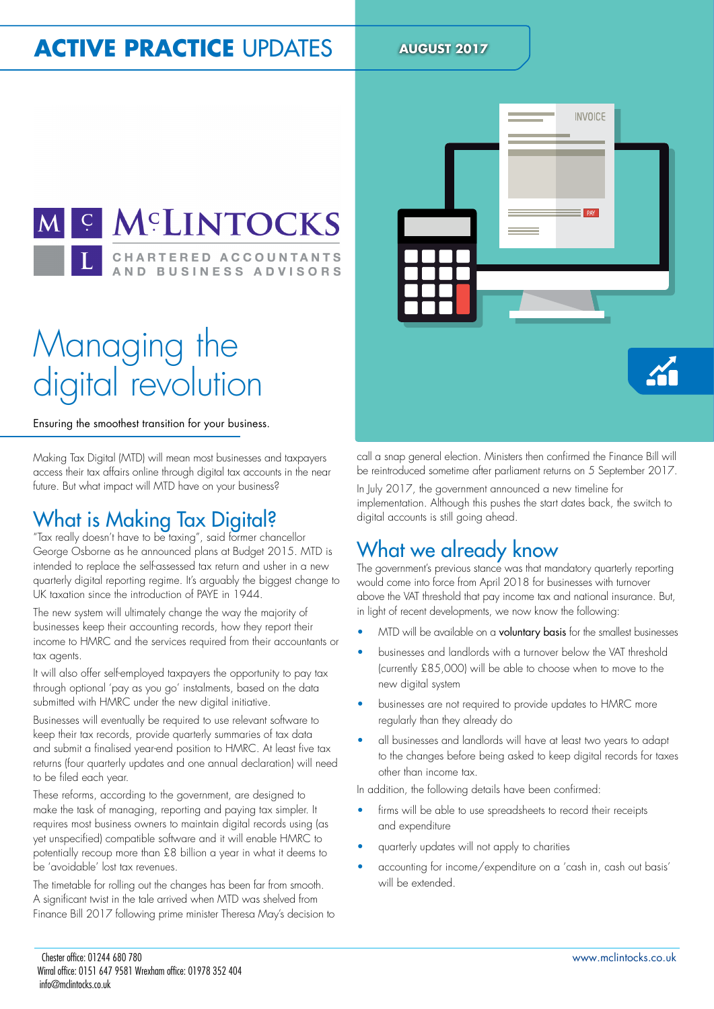## **ACTIVE PRACTICE UPDATES AUGUST 2017**



# Managing the digital revolution

Ensuring the smoothest transition for your business.

Making Tax Digital (MTD) will mean most businesses and taxpayers access their tax affairs online through digital tax accounts in the near future. But what impact will MTD have on your business?

#### What is Making Tax Digital?

"Tax really doesn't have to be taxing", said former chancellor George Osborne as he announced plans at Budget 2015. MTD is intended to replace the self-assessed tax return and usher in a new quarterly digital reporting regime. It's arguably the biggest change to UK taxation since the introduction of PAYE in 1944.

The new system will ultimately change the way the majority of businesses keep their accounting records, how they report their income to HMRC and the services required from their accountants or tax agents.

It will also offer self-employed taxpayers the opportunity to pay tax through optional 'pay as you go' instalments, based on the data submitted with HMRC under the new digital initiative.

Businesses will eventually be required to use relevant software to keep their tax records, provide quarterly summaries of tax data and submit a finalised year-end position to HMRC. At least five tax returns (four quarterly updates and one annual declaration) will need to be filed each year.

These reforms, according to the government, are designed to make the task of managing, reporting and paying tax simpler. It requires most business owners to maintain digital records using (as yet unspeciied) compatible software and it will enable HMRC to potentially recoup more than £8 billion a year in what it deems to be 'avoidable' lost tax revenues.

The timetable for rolling out the changes has been far from smooth. A significant twist in the tale arrived when MTD was shelved from Finance Bill 2017 following prime minister Theresa May's decision to



call a snap general election. Ministers then confirmed the Finance Bill will be reintroduced sometime after parliament returns on 5 September 2017.

In July 2017, the government announced a new timeline for implementation. Although this pushes the start dates back, the switch to digital accounts is still going ahead.

#### What we already know

The government's previous stance was that mandatory quarterly reporting would come into force from April 2018 for businesses with turnover above the VAT threshold that pay income tax and national insurance. But, in light of recent developments, we now know the following:

- MTD will be available on a voluntary basis for the smallest businesses
- businesses and landlords with a turnover below the VAT threshold (currently £85,000) will be able to choose when to move to the new digital system
- businesses are not required to provide updates to HMRC more regularly than they already do
- all businesses and landlords will have at least two years to adapt to the changes before being asked to keep digital records for taxes other than income tax.

In addition, the following details have been confirmed:

- firms will be able to use spreadsheets to record their receipts and expenditure
- quarterly updates will not apply to charities
- accounting for income/expenditure on a 'cash in, cash out basis' will be extended.